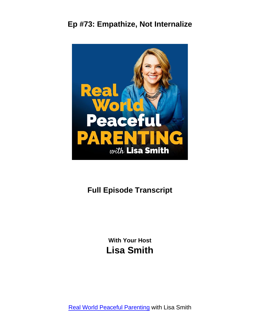

# **Full Episode Transcript**

**With Your Host Lisa Smith**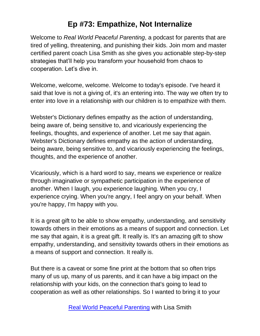Welcome to *Real World Peaceful Parenting*, a podcast for parents that are tired of yelling, threatening, and punishing their kids. Join mom and master certified parent coach Lisa Smith as she gives you actionable step-by-step strategies that'll help you transform your household from chaos to cooperation. Let's dive in.

Welcome, welcome, welcome. Welcome to today's episode. I've heard it said that love is not a giving of, it's an entering into. The way we often try to enter into love in a relationship with our children is to empathize with them.

Webster's Dictionary defines empathy as the action of understanding, being aware of, being sensitive to, and vicariously experiencing the feelings, thoughts, and experience of another. Let me say that again. Webster's Dictionary defines empathy as the action of understanding, being aware, being sensitive to, and vicariously experiencing the feelings, thoughts, and the experience of another.

Vicariously, which is a hard word to say, means we experience or realize through imaginative or sympathetic participation in the experience of another. When I laugh, you experience laughing. When you cry, I experience crying. When you're angry, I feel angry on your behalf. When you're happy, I'm happy with you.

It is a great gift to be able to show empathy, understanding, and sensitivity towards others in their emotions as a means of support and connection. Let me say that again, it is a great gift. It really is. It's an amazing gift to show empathy, understanding, and sensitivity towards others in their emotions as a means of support and connection. It really is.

But there is a caveat or some fine print at the bottom that so often trips many of us up, many of us parents, and it can have a big impact on the relationship with your kids, on the connection that's going to lead to cooperation as well as other relationships. So I wanted to bring it to your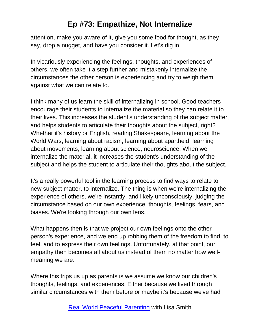attention, make you aware of it, give you some food for thought, as they say, drop a nugget, and have you consider it. Let's dig in.

In vicariously experiencing the feelings, thoughts, and experiences of others, we often take it a step further and mistakenly internalize the circumstances the other person is experiencing and try to weigh them against what we can relate to.

I think many of us learn the skill of internalizing in school. Good teachers encourage their students to internalize the material so they can relate it to their lives. This increases the student's understanding of the subject matter, and helps students to articulate their thoughts about the subject, right? Whether it's history or English, reading Shakespeare, learning about the World Wars, learning about racism, learning about apartheid, learning about movements, learning about science, neuroscience. When we internalize the material, it increases the student's understanding of the subject and helps the student to articulate their thoughts about the subject.

It's a really powerful tool in the learning process to find ways to relate to new subject matter, to internalize. The thing is when we're internalizing the experience of others, we're instantly, and likely unconsciously, judging the circumstance based on our own experience, thoughts, feelings, fears, and biases. We're looking through our own lens.

What happens then is that we project our own feelings onto the other person's experience, and we end up robbing them of the freedom to find, to feel, and to express their own feelings. Unfortunately, at that point, our empathy then becomes all about us instead of them no matter how wellmeaning we are.

Where this trips us up as parents is we assume we know our children's thoughts, feelings, and experiences. Either because we lived through similar circumstances with them before or maybe it's because we've had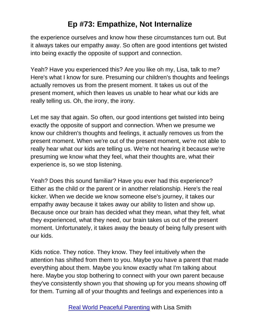the experience ourselves and know how these circumstances turn out. But it always takes our empathy away. So often are good intentions get twisted into being exactly the opposite of support and connection.

Yeah? Have you experienced this? Are you like oh my, Lisa, talk to me? Here's what I know for sure. Presuming our children's thoughts and feelings actually removes us from the present moment. It takes us out of the present moment, which then leaves us unable to hear what our kids are really telling us. Oh, the irony, the irony.

Let me say that again. So often, our good intentions get twisted into being exactly the opposite of support and connection. When we presume we know our children's thoughts and feelings, it actually removes us from the present moment. When we're out of the present moment, we're not able to really hear what our kids are telling us. We're not hearing it because we're presuming we know what they feel, what their thoughts are, what their experience is, so we stop listening.

Yeah? Does this sound familiar? Have you ever had this experience? Either as the child or the parent or in another relationship. Here's the real kicker. When we decide we know someone else's journey, it takes our empathy away because it takes away our ability to listen and show up. Because once our brain has decided what they mean, what they felt, what they experienced, what they need, our brain takes us out of the present moment. Unfortunately, it takes away the beauty of being fully present with our kids.

Kids notice. They notice. They know. They feel intuitively when the attention has shifted from them to you. Maybe you have a parent that made everything about them. Maybe you know exactly what I'm talking about here. Maybe you stop bothering to connect with your own parent because they've consistently shown you that showing up for you means showing off for them. Turning all of your thoughts and feelings and experiences into a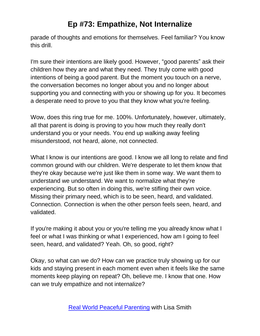parade of thoughts and emotions for themselves. Feel familiar? You know this drill.

I'm sure their intentions are likely good. However, "good parents" ask their children how they are and what they need. They truly come with good intentions of being a good parent. But the moment you touch on a nerve, the conversation becomes no longer about you and no longer about supporting you and connecting with you or showing up for you. It becomes a desperate need to prove to you that they know what you're feeling.

Wow, does this ring true for me. 100%. Unfortunately, however, ultimately, all that parent is doing is proving to you how much they really don't understand you or your needs. You end up walking away feeling misunderstood, not heard, alone, not connected.

What I know is our intentions are good. I know we all long to relate and find common ground with our children. We're desperate to let them know that they're okay because we're just like them in some way. We want them to understand we understand. We want to normalize what they're experiencing. But so often in doing this, we're stifling their own voice. Missing their primary need, which is to be seen, heard, and validated. Connection. Connection is when the other person feels seen, heard, and validated.

If you're making it about you or you're telling me you already know what I feel or what I was thinking or what I experienced, how am I going to feel seen, heard, and validated? Yeah. Oh, so good, right?

Okay, so what can we do? How can we practice truly showing up for our kids and staying present in each moment even when it feels like the same moments keep playing on repeat? Oh, believe me. I know that one. How can we truly empathize and not internalize?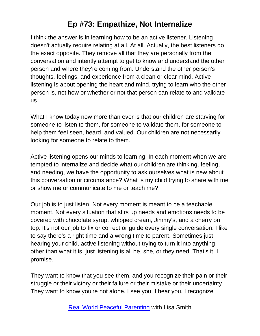I think the answer is in learning how to be an active listener. Listening doesn't actually require relating at all. At all. Actually, the best listeners do the exact opposite. They remove all that they are personally from the conversation and intently attempt to get to know and understand the other person and where they're coming from. Understand the other person's thoughts, feelings, and experience from a clean or clear mind. Active listening is about opening the heart and mind, trying to learn who the other person is, not how or whether or not that person can relate to and validate us.

What I know today now more than ever is that our children are starving for someone to listen to them, for someone to validate them, for someone to help them feel seen, heard, and valued. Our children are not necessarily looking for someone to relate to them.

Active listening opens our minds to learning. In each moment when we are tempted to internalize and decide what our children are thinking, feeling, and needing, we have the opportunity to ask ourselves what is new about this conversation or circumstance? What is my child trying to share with me or show me or communicate to me or teach me?

Our job is to just listen. Not every moment is meant to be a teachable moment. Not every situation that stirs up needs and emotions needs to be covered with chocolate syrup, whipped cream, Jimmy's, and a cherry on top. It's not our job to fix or correct or guide every single conversation. I like to say there's a right time and a wrong time to parent. Sometimes just hearing your child, active listening without trying to turn it into anything other than what it is, just listening is all he, she, or they need. That's it. I promise.

They want to know that you see them, and you recognize their pain or their struggle or their victory or their failure or their mistake or their uncertainty. They want to know you're not alone. I see you. I hear you. I recognize